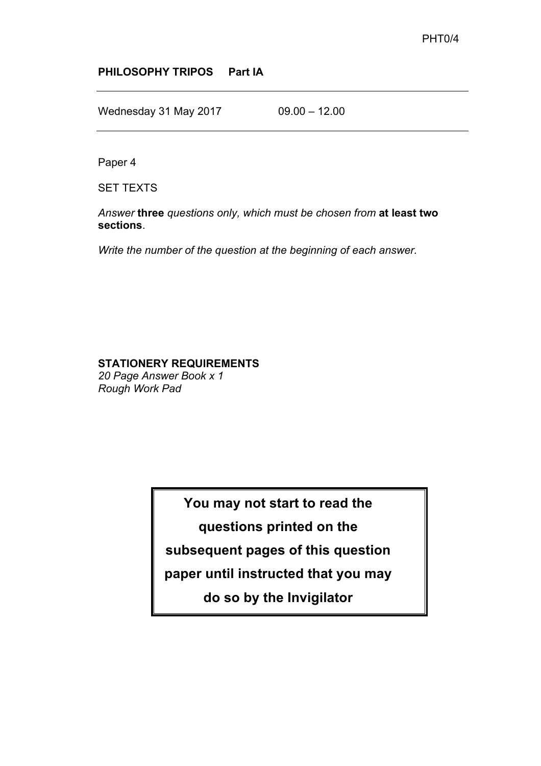#### **PHILOSOPHY TRIPOS Part IA**

Wednesday 31 May 2017 09.00 - 12.00

Paper 4

SET TEXTS

*Answer* **three** *questions only, which must be chosen from* **at least two sections**.

*Write the number of the question at the beginning of each answer.* 

## **STATIONERY REQUIREMENTS**

*20 Page Answer Book x 1 Rough Work Pad*

> **You may not start to read the questions printed on the subsequent pages of this question paper until instructed that you may do so by the Invigilator**